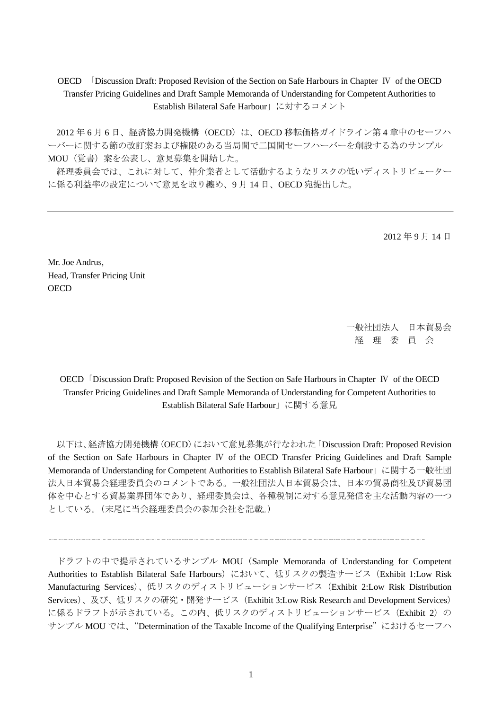OECD 「Discussion Draft: Proposed Revision of the Section on Safe Harbours in Chapter Ⅳ of the OECD Transfer Pricing Guidelines and Draft Sample Memoranda of Understanding for Competent Authorities to Establish Bilateral Safe Harbour」に対するコメント

2012年6月6日、経済協力開発機構 (OECD)は、OECD 移転価格ガイドライン第4章中のセーフハ ーバーに関する節の改訂案および権限のある当局間で二国間セーフハーバーを創設する為のサンプル MOU(覚書)案を公表し、意見募集を開始した。

経理委員会では、これに対して、仲介業者として活動するようなリスクの低いディストリビューター に係る利益率の設定について意見を取り纏め、9 月 14 日、OECD 宛提出した。

2012 年 9 月 14 日

Mr. Joe Andrus, Head, Transfer Pricing Unit **OECD** 

> 一般社団法人 日本貿易会 経 理 委 員 会

OECD「Discussion Draft: Proposed Revision of the Section on Safe Harbours in Chapter Ⅳ of the OECD Transfer Pricing Guidelines and Draft Sample Memoranda of Understanding for Competent Authorities to Establish Bilateral Safe Harbour」に関する意見

以下は、経済協力開発機構(OECD)において意見募集が行なわれた「Discussion Draft: Proposed Revision of the Section on Safe Harbours in Chapter Ⅳ of the OECD Transfer Pricing Guidelines and Draft Sample Memoranda of Understanding for Competent Authorities to Establish Bilateral Safe Harbour」に関する一般社団 法人日本貿易会経理委員会のコメントである。一般社団法人日本貿易会は、日本の貿易商社及び貿易団 体を中心とする貿易業界団体であり、経理委員会は、各種税制に対する意見発信を主な活動内容の一つ としている。(末尾に当会経理委員会の参加会社を記載。)

ドラフトの中で提示されているサンプル MOU (Sample Memoranda of Understanding for Competent Authorities to Establish Bilateral Safe Harbours) において、低リスクの製造サービス (Exhibit 1:Low Risk Manufacturing Services)、低リスクのディストリビューションサービス(Exhibit 2:Low Risk Distribution Services)、及び、低リスクの研究・開発サービス(Exhibit 3:Low Risk Research and Development Services) に係るドラフトが示されている。この内、低リスクのディストリビューションサービス (Exhibit 2)の サンプル MOU では、"Determination of the Taxable Income of the Qualifying Enterprise"におけるセーフハ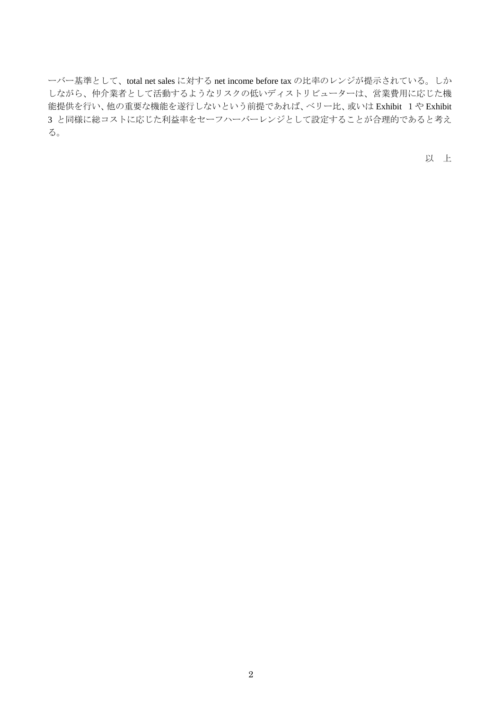ーバー基準として、total net sales に対する net income before tax の比率のレンジが提示されている。しか しながら、仲介業者として活動するようなリスクの低いディストリビューターは、営業費用に応じた機 能提供を行い、他の重要な機能を遂行しないという前提であれば、ベリー比、或いは Exhibit 1や Exhibit 3 と同様に総コストに応じた利益率をセーフハーバーレンジとして設定することが合理的であると考え る。

以 上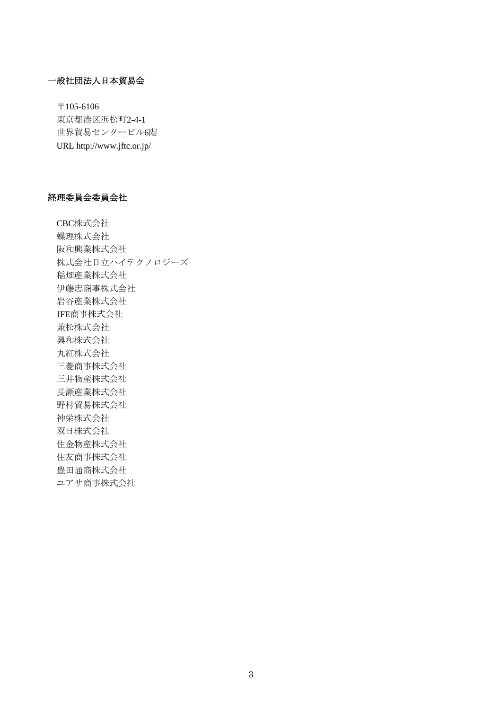## 一般社団法人日本貿易会

〒105-6106 東京都港区浜松町2-4-1 世界貿易センタービル6階 URL http://www.jftc.or.jp/

#### 経理委員会委員会社

CBC株式会社 蝶理株式会社 阪和興業株式会社 株式会社日立ハイテクノロジーズ 稲畑産業株式会社 伊藤忠商事株式会社 岩谷産業株式会社 JFE商事株式会社 兼松株式会社 興和株式会社 丸紅株式会社 三菱商事株式会社 三井物産株式会社 長瀬産業株式会社 野村貿易株式会社 神栄株式会社 双日株式会社 住金物産株式会社 住友商事株式会社 豊田通商株式会社 ユアサ商事株式会社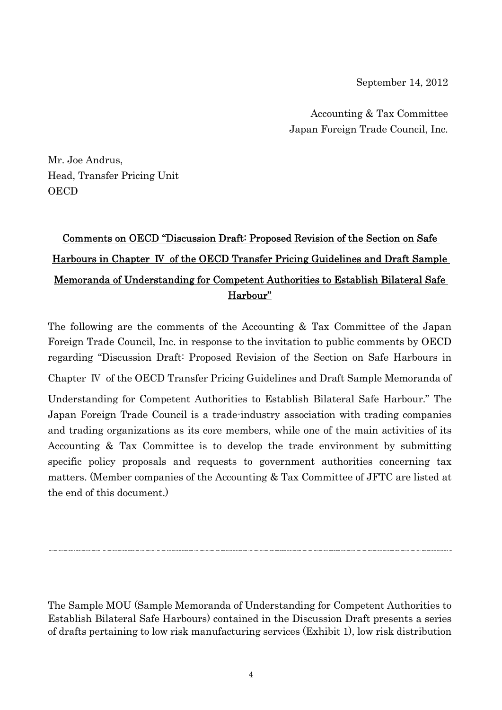September 14, 2012

Accounting & Tax Committee Japan Foreign Trade Council, Inc.

Mr. Joe Andrus, Head, Transfer Pricing Unit **OECD** 

# Comments on OECD "Discussion Draft: Proposed Revision of the Section on Safe Harbours in Chapter Ⅳ of the OECD Transfer Pricing Guidelines and Draft Sample Memoranda of Understanding for Competent Authorities to Establish Bilateral Safe Harbour"

The following are the comments of the Accounting & Tax Committee of the Japan Foreign Trade Council, Inc. in response to the invitation to public comments by OECD regarding "Discussion Draft: Proposed Revision of the Section on Safe Harbours in Chapter Ⅳ of the OECD Transfer Pricing Guidelines and Draft Sample Memoranda of Understanding for Competent Authorities to Establish Bilateral Safe Harbour." The Japan Foreign Trade Council is a trade-industry association with trading companies and trading organizations as its core members, while one of the main activities of its Accounting & Tax Committee is to develop the trade environment by submitting specific policy proposals and requests to government authorities concerning tax matters. (Member companies of the Accounting & Tax Committee of JFTC are listed at the end of this document.)

The Sample MOU (Sample Memoranda of Understanding for Competent Authorities to Establish Bilateral Safe Harbours) contained in the Discussion Draft presents a series of drafts pertaining to low risk manufacturing services (Exhibit 1), low risk distribution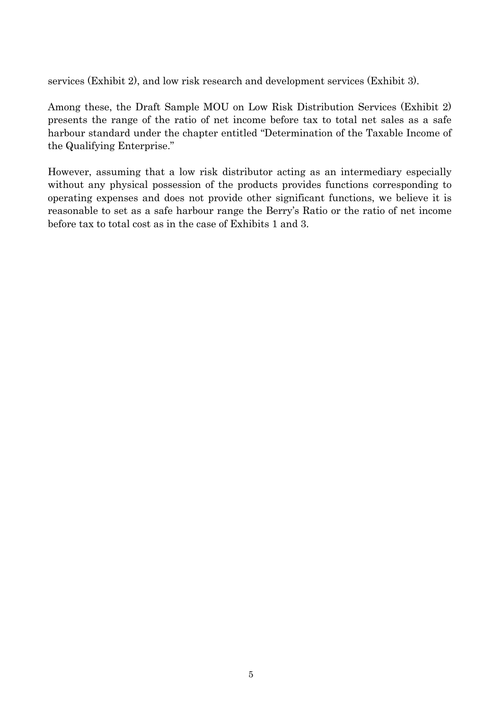services (Exhibit 2), and low risk research and development services (Exhibit 3).

Among these, the Draft Sample MOU on Low Risk Distribution Services (Exhibit 2) presents the range of the ratio of net income before tax to total net sales as a safe harbour standard under the chapter entitled "Determination of the Taxable Income of the Qualifying Enterprise."

However, assuming that a low risk distributor acting as an intermediary especially without any physical possession of the products provides functions corresponding to operating expenses and does not provide other significant functions, we believe it is reasonable to set as a safe harbour range the Berry's Ratio or the ratio of net income before tax to total cost as in the case of Exhibits 1 and 3.